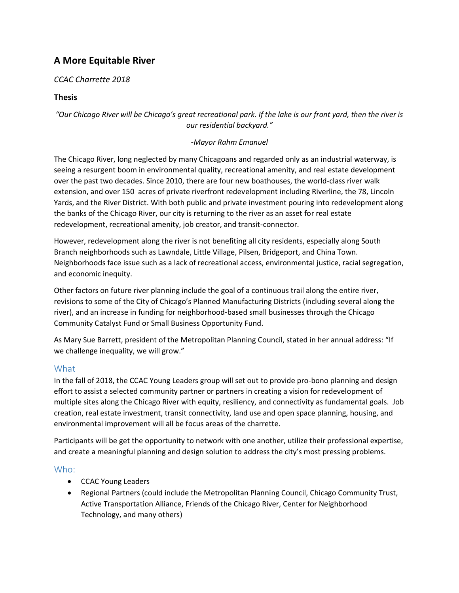# **A More Equitable River**

# *CCAC Charrette 2018*

# **Thesis**

*"Our Chicago River will be Chicago's great recreational park. If the lake is our front yard, then the river is our residential backyard."*

#### *-Mayor Rahm Emanuel*

The Chicago River, long neglected by many Chicagoans and regarded only as an industrial waterway, is seeing a resurgent boom in environmental quality, recreational amenity, and real estate development over the past two decades. Since 2010, there are four new boathouses, the world-class river walk extension, and over 150 acres of private riverfront redevelopment including Riverline, the 78, Lincoln Yards, and the River District. With both public and private investment pouring into redevelopment along the banks of the Chicago River, our city is returning to the river as an asset for real estate redevelopment, recreational amenity, job creator, and transit-connector.

However, redevelopment along the river is not benefiting all city residents, especially along South Branch neighborhoods such as Lawndale, Little Village, Pilsen, Bridgeport, and China Town. Neighborhoods face issue such as a lack of recreational access, environmental justice, racial segregation, and economic inequity.

Other factors on future river planning include the goal of a continuous trail along the entire river, revisions to some of the City of Chicago's Planned Manufacturing Districts (including several along the river), and an increase in funding for neighborhood-based small businesses through the Chicago Community Catalyst Fund or Small Business Opportunity Fund.

As Mary Sue Barrett, president of the Metropolitan Planning Council, stated in her annual address: "If we challenge inequality, we will grow."

# What

In the fall of 2018, the CCAC Young Leaders group will set out to provide pro-bono planning and design effort to assist a selected community partner or partners in creating a vision for redevelopment of multiple sites along the Chicago River with equity, resiliency, and connectivity as fundamental goals. Job creation, real estate investment, transit connectivity, land use and open space planning, housing, and environmental improvement will all be focus areas of the charrette.

Participants will be get the opportunity to network with one another, utilize their professional expertise, and create a meaningful planning and design solution to address the city's most pressing problems.

## Who:

- CCAC Young Leaders
- Regional Partners (could include the Metropolitan Planning Council, Chicago Community Trust, Active Transportation Alliance, Friends of the Chicago River, Center for Neighborhood Technology, and many others)